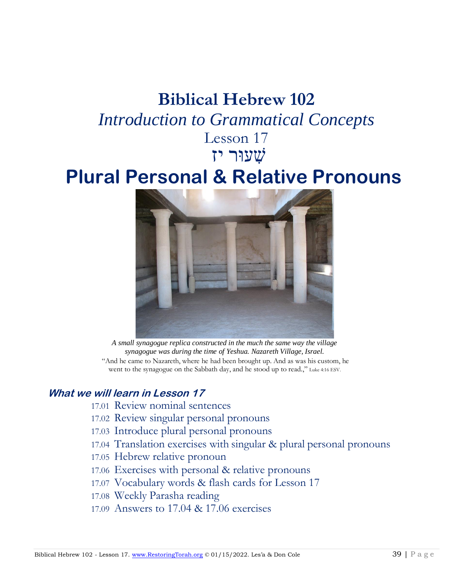### **Biblical Hebrew 102** *Introduction to Grammatical Concepts* Lesson 17

## שׁ ִעוּר יזִ

## **Plural Personal & Relative Pronouns**



*A small synagogue replica constructed in the much the same way the village synagogue was during the time of Yeshua. Nazareth Village, Israel.* "And he came to Nazareth, where he had been brought up. And as was his custom, he went to the synagogue on the Sabbath day, and he stood up to read.," Luke 4:16 ESV.

#### **What we will learn in Lesson 17**

- 17.01 Review nominal sentences
- 17.02 Review singular personal pronouns
- 17.03 Introduce plural personal pronouns
- 17.04 Translation exercises with singular & plural personal pronouns
- 17.05 Hebrew relative pronoun
- 17.06 Exercises with personal & relative pronouns
- 17.07 Vocabulary words & flash cards for Lesson 17
- 17.08 Weekly Parasha reading
- 17.09 Answers to 17.04 & 17.06 exercises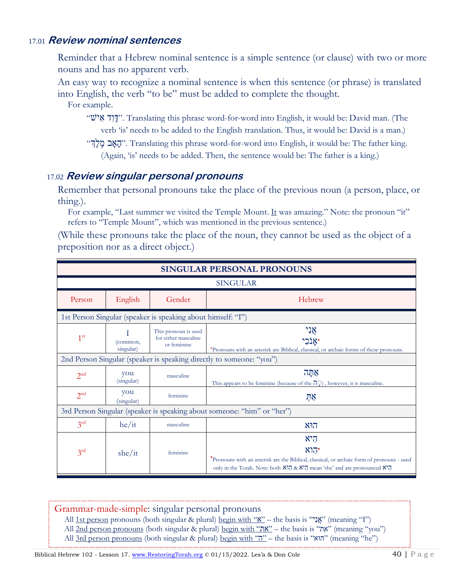#### 17.01 **Review nominal sentences**

Reminder that a Hebrew nominal sentence is a simple sentence (or clause) with two or more nouns and has no apparent verb.

An easy way to recognize a nominal sentence is when this sentence (or phrase) is translated into English, the verb "to be" must be added to complete the thought.

For example.

- "ישׁ א ד ו ָּד". Translating this phrase word-for-word into English, it would be: David man. (The verb 'is' needs to be added to the English translation. Thus, it would be: David is a man.)
- "האָב מֶלְךְ". Translating this phrase word-for-word into English, it would be: The father king. (Again, 'is' needs to be added. Then, the sentence would be: The father is a king.)

#### 17.02 **Review singular personal pronouns**

Remember that personal pronouns take the place of the previous noun (a person, place, or thing.).

For example, "Last summer we visited the Temple Mount. It was amazing." Note: the pronoun "it" refers to "Temple Mount", which was mentioned in the previous sentence.)

(While these pronouns take the place of the noun, they cannot be used as the object of a preposition nor as a direct object.)

| <b>SINGULAR PERSONAL PRONOUNS</b> |                       |                                                              |                                                                                                                                                                                                                 |  |
|-----------------------------------|-----------------------|--------------------------------------------------------------|-----------------------------------------------------------------------------------------------------------------------------------------------------------------------------------------------------------------|--|
|                                   |                       |                                                              | <b>SINGULAR</b>                                                                                                                                                                                                 |  |
| Person                            | English               | Gender                                                       | Hebrew                                                                                                                                                                                                          |  |
|                                   |                       | 1st Person Singular (speaker is speaking about himself: "I") |                                                                                                                                                                                                                 |  |
| 1 <sup>st</sup>                   | (common,<br>singular) | This pronoun is used<br>for either masculine<br>or feminine  | אָנִי<br>אנכי*<br>*Pronouns with an asterisk are Biblical, classical, or archaic forms of these pronouns.                                                                                                       |  |
|                                   |                       |                                                              | 2nd Person Singular (speaker is speaking directly to someone: "you")                                                                                                                                            |  |
| 2 <sup>nd</sup>                   | you<br>(singular)     | masculine                                                    | 758<br>This appears to be feminine (because of the $\overline{d}$ ), however, it is masculine.                                                                                                                  |  |
| 2 <sup>nd</sup>                   | you<br>(singular)     | feminine                                                     | ঢ়়ષ্                                                                                                                                                                                                           |  |
|                                   |                       |                                                              | 3rd Person Singular (speaker is speaking about someone: "him" or "her")                                                                                                                                         |  |
| 3 <sup>rd</sup>                   | he/it                 | masculine                                                    | הוא                                                                                                                                                                                                             |  |
| 3 <sup>rd</sup>                   | she/it                | feminine                                                     | היא<br>הוא<br>*Pronouns with an asterisk are the Biblical, classical, or archaic form of pronouns - used<br>only in the Torah. Note: both אה הוא הוא הוא הוא הוא הוא הוא only in the Torah. Note: both $\aleph$ |  |

Grammar-made-simple: singular personal pronouns

- All 1st person pronouns (both singular & plural) <u>begin with "יָאֲ</u>נָ" (meaning "I")
- All 2nd person pronouns (both singular & plural) begin with "את" the basis is "אֶת" (meaning "you")
- All 3rd person pronouns (both singular & plural) begin with "הוּא" the basis is "הוּאה" (meaning "he")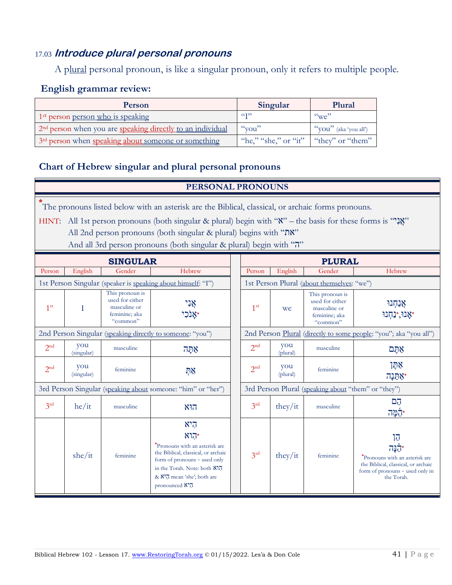#### 17.03 **Introduce plural personal pronouns**

A plural personal pronoun, is like a singular pronoun, only it refers to multiple people.

#### **English grammar review:**

| Person                                                                 | Singular                                | Plural                         |
|------------------------------------------------------------------------|-----------------------------------------|--------------------------------|
| 1 <sup>st</sup> person <u>person who</u> is speaking                   | $\epsilon$ $\epsilon$ T <sub>22</sub>   | $\alpha_{\rm W}e^{2}$          |
| 2 <sup>nd</sup> person when you are speaking directly to an individual | $\alpha$ vou"                           | " $\gamma$ OU" (aka 'you all') |
| 3 <sup>rd</sup> person when speaking about someone or something        | "he," "she," or "it"   "they" or "them" |                                |

#### **Chart of Hebrew singular and plural personal pronouns**

#### **PERSONAL PRONOUNS**

**\*** The pronouns listed below with an asterisk are the Biblical, classical, or archaic forms pronouns.ִ

HINT: All 1st person pronouns (both singular & plural) begin with ""אֲגָל" – the basis for these forms is "אֲ All 2nd person pronouns (both singular & plural) begins with "את"

And all 3rd person pronouns (both singular & plural) begin with "ה"

| <b>SINGULAR</b>                                              |                   |                                                                                 |                                                                                                                                                                                                     | <b>PLURAL</b>   |                 |                                                                                 |                                                                                                                                     |
|--------------------------------------------------------------|-------------------|---------------------------------------------------------------------------------|-----------------------------------------------------------------------------------------------------------------------------------------------------------------------------------------------------|-----------------|-----------------|---------------------------------------------------------------------------------|-------------------------------------------------------------------------------------------------------------------------------------|
| Person                                                       | English           | Gender                                                                          | Hebrew                                                                                                                                                                                              | Person          | English         | Gender                                                                          | Hebrew                                                                                                                              |
|                                                              |                   |                                                                                 | 1st Person Singular (speaker is speaking about himself: "I")                                                                                                                                        |                 |                 | 1st Person Plural (about themselves: "we")                                      |                                                                                                                                     |
| 1 <sup>st</sup>                                              |                   | This pronoun is<br>used for either<br>masculine or<br>feminine; aka<br>"common" | אָנִי                                                                                                                                                                                               | 1 <sup>st</sup> | we              | This pronoun is<br>used for either<br>masculine or<br>feminine; aka<br>"common" | אֲנַחְנוּ<br>יאָנוּ,∗נַחִנוּ                                                                                                        |
|                                                              |                   |                                                                                 | 2nd Person Singular (speaking directly to someone: "you")                                                                                                                                           |                 |                 |                                                                                 | 2nd Person Plural (directly to some people: "you"; aka "you all")                                                                   |
| 2 <sup>nd</sup>                                              | you<br>(singular) | masculine                                                                       | אַתַּה                                                                                                                                                                                              | 2 <sup>nd</sup> | you<br>(plural) | masculine                                                                       | אתֵם                                                                                                                                |
| 2 <sup>nd</sup>                                              | you<br>(singular) | feminine                                                                        | ņx                                                                                                                                                                                                  | 2 <sup>nd</sup> | you<br>(plural) | feminine                                                                        | אַתָּן<br>אַתֵּנָה'                                                                                                                 |
| 3rd Person Singular (speaking about someone: "him" or "her") |                   |                                                                                 | 3rd Person Plural (speaking about "them" or "they")                                                                                                                                                 |                 |                 |                                                                                 |                                                                                                                                     |
| 3 <sup>rd</sup>                                              | he/it             | masculine                                                                       | הוא                                                                                                                                                                                                 | 3 <sup>rd</sup> | they/it         | masculine                                                                       | הֲם<br>הֲמָה                                                                                                                        |
|                                                              | she/it            | feminine                                                                        | היא<br>הוא<br>*Pronouns with an asterisk are<br>the Biblical, classical, or archaic<br>form of pronouns - used only<br>in the Torah. Note: both N17<br>& N'7 mean 'she'; both are<br>pronounced N'7 | 3 <sup>rd</sup> | they/it         | feminine                                                                        | הן<br>הנה<br>*Pronouns with an asterisk are<br>the Biblical, classical, or archaic<br>form of pronouns - used only in<br>the Torah. |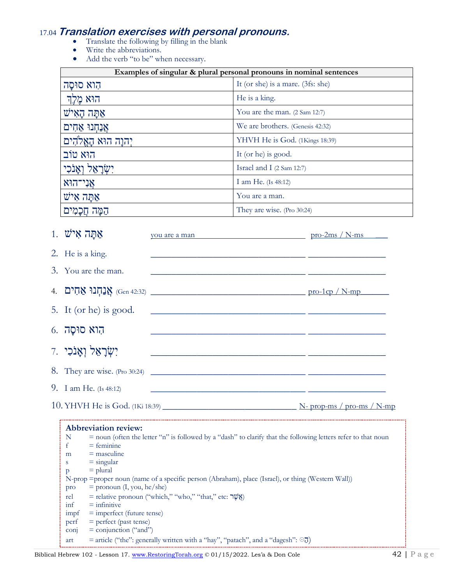# 17.04 **Translation exercises with personal pronouns.**<br>• Translate the following by filling in the blank<br>• Write the abbreviations.

- 
- 
- Add the verb "to be" when necessary.

| Examples of singular & plural personal pronouns in nominal sentences |                                   |  |
|----------------------------------------------------------------------|-----------------------------------|--|
| הוא סוּסַה                                                           | It (or she) is a mare. (3fs: she) |  |
| הוא מֵלֵךְ                                                           | He is a king.                     |  |
| אַתָּה הָאִישׁ                                                       | You are the man. (2 Sam 12:7)     |  |
| אַנְחָנוּ אַחִים                                                     | We are brothers. (Genesis 42:32)  |  |
| יִהוָה הוּא הָאֱלֹהִים                                               | YHVH He is God. (1Kings 18:39)    |  |
| הוא טוב                                                              | It (or he) is good.               |  |
| יִשְׂרָאֵל וְאַנֹכִי                                                 | Israel and I (2 Sam 12:7)         |  |
| אַנִי־הוּא                                                           | I am He. (Is 48:12)               |  |
| אַתּה אִישׁ                                                          | You are a man.                    |  |
| הֵמֶּה חֲכָמִים                                                      | They are wise. (Pro 30:24)        |  |

| $1.$ עַתָּה אִישׁ        | <u>you are a man pro-2ms / N-ms</u>                                                                                 |                                                                                                                       |
|--------------------------|---------------------------------------------------------------------------------------------------------------------|-----------------------------------------------------------------------------------------------------------------------|
| 2. He is a king.         |                                                                                                                     | <u> 1989 - Johann John Stein, mars ar breithinn ar breithinn an dùthchan an dùthchan an dùthchan an dùthchan an d</u> |
| 3. You are the man.      | <u> 1999 - Jan James James Jan James James James James James James James James James James James James James Ja</u> |                                                                                                                       |
|                          | ון אַנְחְנוּ אַחִים (Gen 42:32) אֲנַחְנוּ אֱהִים (Gen 42:32) אֲנ                                                    |                                                                                                                       |
| 5. It (or he) is good.   | <u> 1989 - Jan Barnett, fransk politiker (d. 1989)</u>                                                              |                                                                                                                       |
| הוא סוּסָה .6            |                                                                                                                     |                                                                                                                       |
| יִשְׂרָאֵל וְאָנֹכִי     |                                                                                                                     |                                                                                                                       |
|                          | 8. They are wise. (Pro 30:24)                                                                                       |                                                                                                                       |
| 9. I am He. $(Is 48:12)$ |                                                                                                                     |                                                                                                                       |
|                          |                                                                                                                     | $N$ - prop-ms / pro-ms / $N$ -mp                                                                                      |

|      | <b>Abbreviation review:</b>                                                                                          |  |  |  |  |
|------|----------------------------------------------------------------------------------------------------------------------|--|--|--|--|
| N    | $\tau$ = noun (often the letter "n" is followed by a "dash" to clarify that the following letters refer to that noun |  |  |  |  |
|      | $=$ feminine                                                                                                         |  |  |  |  |
| m    | $=$ masculine                                                                                                        |  |  |  |  |
| S    | $=$ singular                                                                                                         |  |  |  |  |
| p    | $=$ plural                                                                                                           |  |  |  |  |
|      | N-prop = proper noun (name of a specific person (Abraham), place (Israel), or thing (Western Wall))                  |  |  |  |  |
| pro  | $=$ pronoun (I, you, he/she)                                                                                         |  |  |  |  |
| rel  | = relative pronoun ("which," "who," "that," etc: שָׁלָ                                                               |  |  |  |  |
| inf  | $=$ infinitive                                                                                                       |  |  |  |  |
| impf | $=$ imperfect (future tense)                                                                                         |  |  |  |  |
| perf | $=$ perfect (past tense)                                                                                             |  |  |  |  |
| conj | $=$ conjunction ("and")                                                                                              |  |  |  |  |
| art  | = article ("the": generally written with a "hay", "patach", and a "dagesh": $\odot$                                  |  |  |  |  |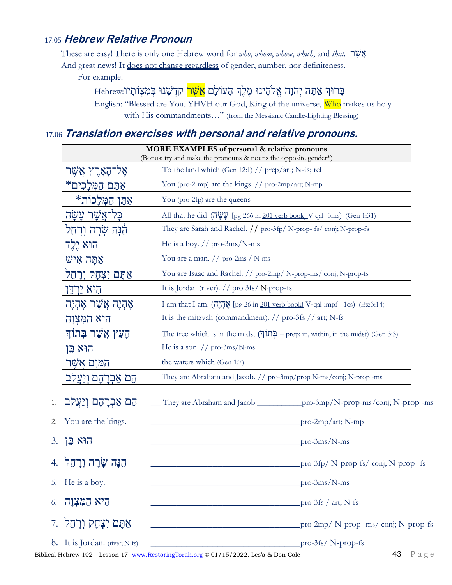#### 17.05 Hebrew Relative Pronoun

These are easy! There is only one Hebrew word for who, whom, whose, which, and that. JUN

And great news! It does not change regardless of gender, number, nor definiteness.

For example.

בַרוּךְ אַתַּה יִהוַה אֱלֹהֶינוּ מֵלֵךְ הַעוֹלַם <mark>אֲשֶׁר</mark> קִדְּשַׁנוּ בְּמִצְוֹתַיו.Hebrew

English: "Blessed are You, YHVH our God, King of the universe, Who makes us holy with His commandments..." (from the Messianic Candle-Lighting Blessing)

#### 17.06 Translation exercises with personal and relative pronouns.

| MORE EXAMPLES of personal & relative pronouns<br>(Bonus: try and make the pronouns & nouns the opposite gender*) |                                                                                           |  |
|------------------------------------------------------------------------------------------------------------------|-------------------------------------------------------------------------------------------|--|
| אַל־האַרֵץ אֲשֶׁו                                                                                                | To the land which (Gen 12:1) $//$ prep/art; N-fs; rel                                     |  |
| אַתֵּם הַמְּלִכִים*                                                                                              | You (pro-2 mp) are the kings. // pro-2mp/art; N-mp                                        |  |
| אַתֶּן הַמְּלַכוֹת*                                                                                              | You (pro-2fp) are the queens                                                              |  |
| כַּל־אֲשֶׁר עֲשָׂה                                                                                               | All that he did $(\overline{u}\psi\psi)$ [pg 266 in 201 verb book] V-qal -3ms) (Gen 1:31) |  |
| הֵׁנָּה שָׂרָה וְרָחֵל                                                                                           | They are Sarah and Rachel. // pro-3fp/ N-prop- fs/ conj; N-prop-fs                        |  |
| הוא יֶלֶד                                                                                                        | He is a boy. $//$ pro-3ms/N-ms                                                            |  |
| אַתַּה אִישׁ                                                                                                     | You are a man. $//$ pro-2ms / N-ms                                                        |  |
| אַתֵּם יִצְחָק וִרַחֵל                                                                                           | You are Isaac and Rachel. // pro-2mp/ N-prop-ms/ conj; N-prop-fs                          |  |
| היא ירדו                                                                                                         | It is Jordan (river). $//$ pro 3fs/ N-prop-fs                                             |  |
| אָהָיֵה אֲשֶׁר אֶהָיֵה                                                                                           | I am that I am. (הְיֶהָיָה [pg 26 in 201 verb book] V-qal-impf - 1cs) (Ex:3:14)           |  |
| הִיא הַמְּצְוַה                                                                                                  | It is the mitzvah (commandment). // pro-3fs // art; N-fs                                  |  |
| הָעֵץ אֲשֶׁר בְּתוֹךְ                                                                                            | The tree which is in the midst $[7]$ – prep: in, within, in the midst) (Gen 3:3)          |  |
| הוא בֵן                                                                                                          | He is a son. $//$ pro-3ms/N-ms                                                            |  |
| הַמַּיִם אֲשֶׁר                                                                                                  | the waters which (Gen 1:7)                                                                |  |
| אִבְרהם וַיַעֲקִב                                                                                                | They are Abraham and Jacob. // pro-3mp/prop N-ms/conj; N-prop -ms                         |  |

They are Abraham and Jacob  $\frac{p}{q}$  pro-3mp/N-prop-ms/conj; N-prop -ms הֵם אַבְרָהָם וְיַעֲקֹב .ו  $2.$ You are the kings.  $\frac{1}{\text{pro-2mp/art}}$ ; N-mp 3. הוא בֵּן  $\frac{1}{2}$  pro-3ms/N-ms הֵנֵּה שַׂרַה וְרַחֱל 4.  $\frac{1}{2}$  pro-3fp/ N-prop-fs/conj; N-prop-fs 5. He is a boy.  $\frac{1}{\text{pro-3ms/N-ms}}$ היא הַמְצְוָה .6  $\frac{1}{2}$  pro-3fs / art; N-fs אַתֵּם יִצְחַק וְרַחֶל 7.  $_{\rm pro-2mp}/$  N-prop -ms/conj; N-prop-fs 8. It is Jordan. (river; N-fs)  $_{\rm pro-3fs/}$  N-prop-fs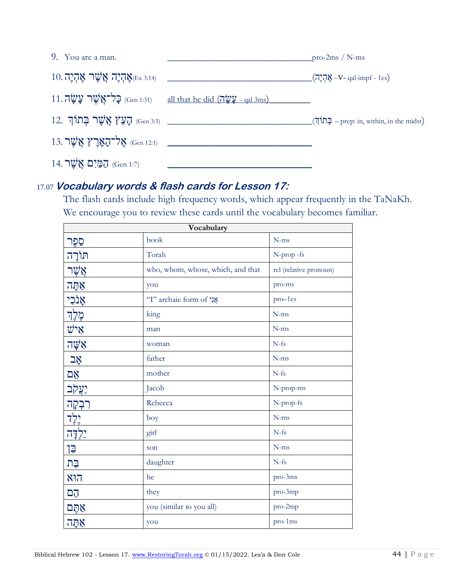| 9. You are a man.                               |                                                                       | pro-2ms / $N$ -ms                                |
|-------------------------------------------------|-----------------------------------------------------------------------|--------------------------------------------------|
| $10.7$ אֶהְיֶה אֲשֶׁר אֶהְיֶה $\mathbb{C}^{14}$ | <u> 1980 - Andrea Andrew Maria (h. 1980).</u>                         | $\sqrt{(7.75 \cdot 4)}$ אֶה –V- qal-impf - 1cs)  |
|                                                 | $11.7$ יַל־אֲשֶׁר עֲשֶׂה (Gen 1:31) all that he did (עֵשׁה - qal 3ms) |                                                  |
|                                                 | ר בְּתוֹךְ (Gen 3:3) הָעֵץ אֲשֶׁר בְּתוֹךְ (Gen 3:3)                  | $[$ בְּתוֹךְ $-$ prep: in, within, in the midst) |
|                                                 | אָל־קאָרֶץ אֲשֶׁר 13. Gen 12:1) איז Gen 12:1)                         |                                                  |
| הַמַּיִם אֲשֶׁר (Gen 1:7)                       |                                                                       |                                                  |

#### 17.07**Vocabulary words & flash cards for Lesson 17:**

The flash cards include high frequency words, which appear frequently in the TaNaKh. We encourage you to review these cards until the vocabulary becomes familiar.

| Vocabulary        |                                   |                        |  |  |
|-------------------|-----------------------------------|------------------------|--|--|
| סֶפֶּר            | book                              | $N-ms$                 |  |  |
| תּוֹרָה           | Torah                             | N-prop -fs             |  |  |
| אֲשֶׁר            | who, whom, whose, which, and that | rel (relative pronoun) |  |  |
| אַתָּה            | you                               | pro-ms                 |  |  |
| אָנֹכִי           | "I" archaic form of אֲנָי         | $pro-1cs$              |  |  |
| מֶלֶךְ            | king                              | $N-ms$                 |  |  |
| איש               | man                               | $N-ms$                 |  |  |
| אַשָּׁה           | woman                             | $N-fs$                 |  |  |
| אָב               | father                            | $N$ -ms                |  |  |
| אֱם               | mother                            | $N-fs$                 |  |  |
| <b>יַצֲקֹב</b>    | Jacob                             | N-prop-ms              |  |  |
| רִבְקָה           | Rebecca                           | N-prop-fs              |  |  |
| יֵלֶד             | boy                               | $N$ -ms                |  |  |
| ילדה <sup>-</sup> | girl                              | $N-fs$                 |  |  |
| 길                 | son                               | $N$ -ms                |  |  |
| בַּת              | daughter                          | $N-fs$                 |  |  |
| הוא               | he                                | pro-3ms                |  |  |
| <b>DJ</b>         | they                              | pro-3mp                |  |  |
| אַתֵּם            | you (similar to you all)          | pro-2mp                |  |  |
| אַתַּה            | you                               | pro-1ms                |  |  |